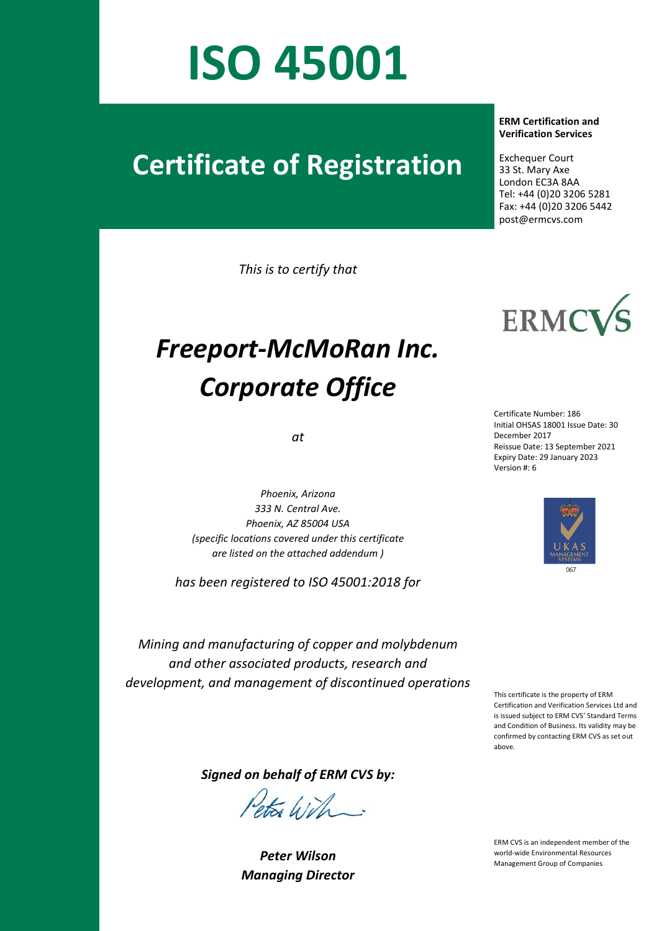# **ISO 45001**

### **Certificate of Registration**

*This is to certify that*

## *Freeport-McMoRan Inc. Corporate Office*

*at*

*Phoenix, Arizona 333 N. Central Ave. Phoenix, AZ 85004 USA (specific locations covered under this certificate are listed on the attached addendum )*

*has been registered to ISO 45001:2018 for*

#### **ERM Certification and Verification Services**

 Exchequer Court 33 St. Mary Axe London EC3A 8AA Tel: +44 (0)20 3206 5281 Fax: +44 (0)20 3206 5442 post@ermcvs.com



Certificate Number: 186 Initial OHSAS 18001 Issue Date: 30 December 2017 Reissue Date: 13 September 2021 Expiry Date: 29 January 2023 Version #: 6



*Mining and manufacturing of copper and molybdenum and other associated products, research and development, and management of discontinued operations*

This certificate is the property of ERM Certification and Verification Services Ltd and is issued subject to ERM CVS' Standard Terms and Condition of Business. Its validity may be confirmed by contacting ERM CVS as set out above.

*Signed on behalf of ERM CVS by:*

ets With

*Peter Wilson Managing Director* 

ERM CVS is an independent member of the world-wide Environmental Resources Management Group of Companies